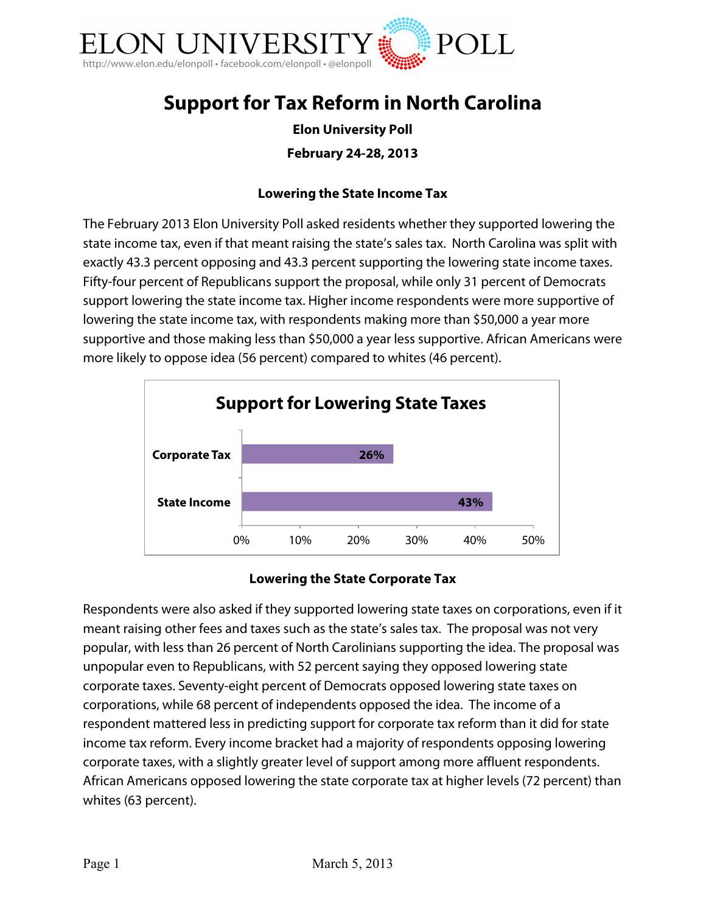

# **Support for Tax Reform in North Carolina**

# **Elon University Poll**

## **February 24-28, 2013**

#### **Lowering the State Income Tax**

The February 2013 Elon University Poll asked residents whether they supported lowering the state income tax, even if that meant raising the state's sales tax. North Carolina was split with exactly 43.3 percent opposing and 43.3 percent supporting the lowering state income taxes. Fifty-four percent of Republicans support the proposal, while only 31 percent of Democrats support lowering the state income tax. Higher income respondents were more supportive of lowering the state income tax, with respondents making more than \$50,000 a year more supportive and those making less than \$50,000 a year less supportive. African Americans were more likely to oppose idea (56 percent) compared to whites (46 percent).



#### **Lowering the State Corporate Tax**

Respondents were also asked if they supported lowering state taxes on corporations, even if it meant raising other fees and taxes such as the state's sales tax. The proposal was not very popular, with less than 26 percent of North Carolinians supporting the idea. The proposal was unpopular even to Republicans, with 52 percent saying they opposed lowering state corporate taxes. Seventy-eight percent of Democrats opposed lowering state taxes on corporations, while 68 percent of independents opposed the idea. The income of a respondent mattered less in predicting support for corporate tax reform than it did for state income tax reform. Every income bracket had a majority of respondents opposing lowering corporate taxes, with a slightly greater level of support among more affluent respondents. African Americans opposed lowering the state corporate tax at higher levels (72 percent) than whites (63 percent).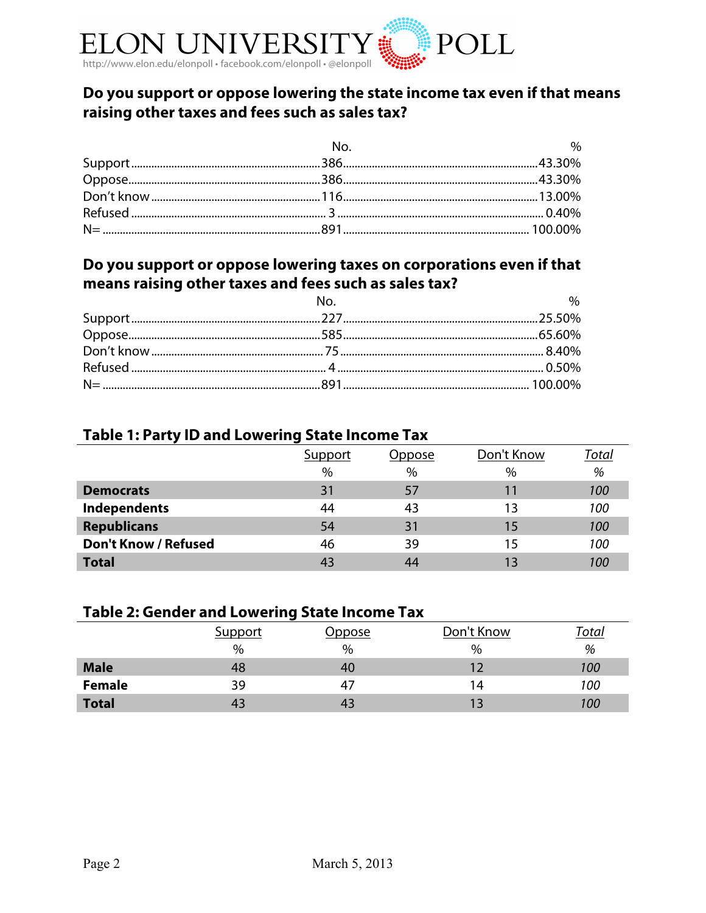

# **Do you support or oppose lowering the state income tax even if that means raising other taxes and fees such as sales tax?**

| No. | $\%$ |
|-----|------|
|     |      |
|     |      |
|     |      |
|     |      |
|     |      |

# **Do you support or oppose lowering taxes on corporations even if that means raising other taxes and fees such as sales tax?**

| $N_{\Omega}$ | $\sim$ 0% |
|--------------|-----------|
|              |           |
|              |           |
|              |           |
|              |           |
|              |           |

# **Table 1: Party ID and Lowering State Income Tax**

|                             | Support | Dppose | Don't Know | <u>Total</u> |
|-----------------------------|---------|--------|------------|--------------|
|                             | $\%$    | $\%$   | $\%$       | %            |
| <b>Democrats</b>            | 31      | 57     | 11         | 100          |
| <b>Independents</b>         | 44      | 43     | 13         | 100          |
| <b>Republicans</b>          | 54      | 31     | 15         | 100          |
| <b>Don't Know / Refused</b> | 46      | 39     | 15         | 100          |
| <b>Total</b>                | 43      | 44     | 13         | 100          |

# **Table 2: Gender and Lowering State Income Tax**

|               | Support       | Oppose | Don't Know | T <u>otal</u> |
|---------------|---------------|--------|------------|---------------|
|               | $\frac{0}{0}$ | %      | %          | %             |
| <b>Male</b>   | 48            | 40     |            | <i>100</i>    |
| <b>Female</b> | 39            | 47     | 14         | 100           |
| <b>Total</b>  | 43            | 43     |            | 100           |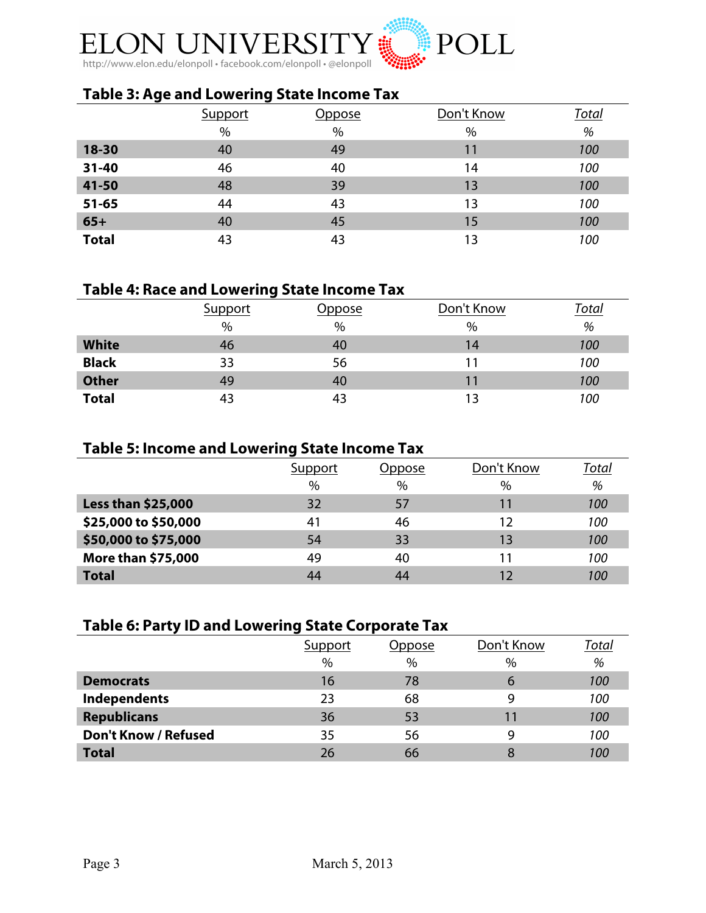

# **Table 3: Age and Lowering State Income Tax**

|              | Support | )ppose        | Don't Know | <u>Total</u> |
|--------------|---------|---------------|------------|--------------|
|              | $\%$    | $\frac{0}{0}$ | %          | %            |
| 18-30        | 40      | 49            | 11         | 100          |
| 31-40        | 46      | 40            | 14         | 100          |
| 41-50        | 48      | 39            | 13         | 100          |
| $51 - 65$    | 44      | 43            | 13         | 100          |
| $65+$        | 40      | 45            | 15         | 100          |
| <b>Total</b> | 43      | 43            | 13         | 100          |

## **Table 4: Race and Lowering State Income Tax**

|              | Support | <u> Oppose</u> | Don't Know | Total |
|--------------|---------|----------------|------------|-------|
|              | $\%$    | $\%$           | $\%$       | %     |
| <b>White</b> | 46      | 40             | 14         | 100   |
| <b>Black</b> | 33      | 56             |            | 100   |
| <b>Other</b> | 49      | 40             | 11         | 100   |
| <b>Total</b> | 43      | 43             | 13         | 100   |

## **Table 5: Income and Lowering State Income Tax**

|                           | Support | Oppose | Don't Know | Total |
|---------------------------|---------|--------|------------|-------|
|                           | $\%$    | $\%$   | $\%$       | %     |
| Less than \$25,000        | 32      | 57     | 11         | 100   |
| \$25,000 to \$50,000      | 41      | 46     | 12         | 100   |
| \$50,000 to \$75,000      | 54      | 33     | 13         | 100   |
| <b>More than \$75,000</b> | 49      | 40     |            | 100   |
| <b>Total</b>              | 44      | 44     |            | 100   |

# **Table 6: Party ID and Lowering State Corporate Tax**

|                             | Support | Dppose | Don't Know | <u>Total</u> |
|-----------------------------|---------|--------|------------|--------------|
|                             | $\%$    | $\%$   | $\%$       | %            |
| <b>Democrats</b>            | 16      | 78     | 6          | 100          |
| Independents                | 23      | 68     | 9          | 100          |
| <b>Republicans</b>          | 36      | 53     | 11         | <i>100</i>   |
| <b>Don't Know / Refused</b> | 35      | 56     | 9          | 100          |
| <b>Total</b>                | 26      | 66     | 8          | <i>100</i>   |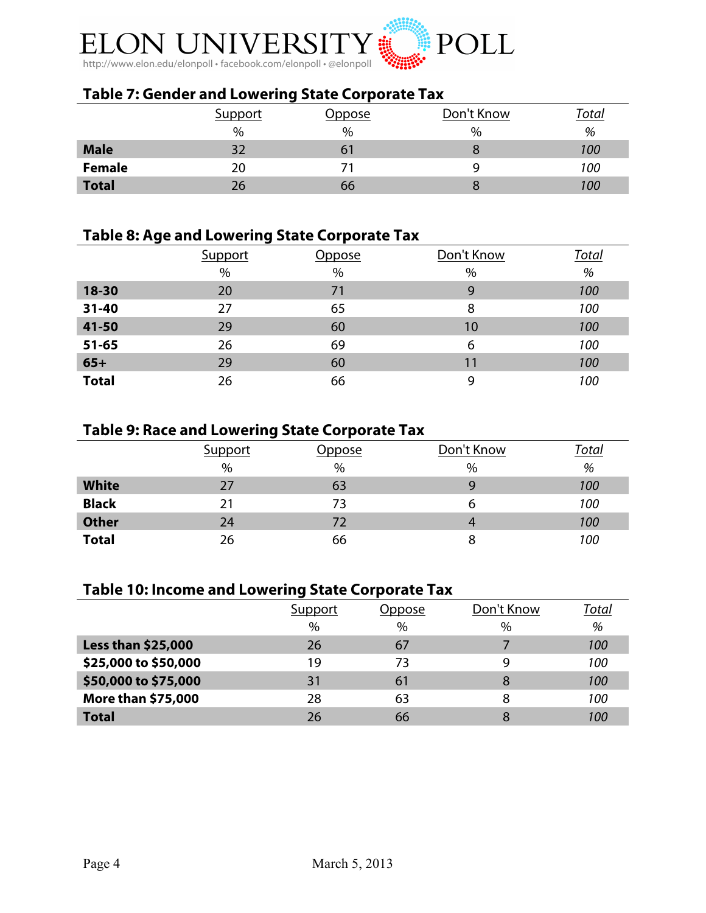

# **Table 7: Gender and Lowering State Corporate Tax**

|               | Support | Oppose | Don't Know | $\tau$ otal |
|---------------|---------|--------|------------|-------------|
|               | %       | $\%$   | %          | %           |
| <b>Male</b>   | วา      | ו ס    |            | 100         |
| <b>Female</b> | 20      |        |            | 100         |
| <b>Total</b>  | 26      | 66     |            | 100         |

# **Table 8: Age and Lowering State Corporate Tax**

|              | Support | Oppose | Don't Know | Total |
|--------------|---------|--------|------------|-------|
|              | $\%$    | $\%$   | $\%$       | %     |
| 18-30        | 20      | 71     | 9          | 100   |
| $31 - 40$    | 27      | 65     | 8          | 100   |
| 41-50        | 29      | 60     | 10         | 100   |
| $51 - 65$    | 26      | 69     | 6          | 100   |
| $65+$        | 29      | 60     | 11         | 100   |
| <b>Total</b> | 26      | 66     | 9          | 100   |

# **Table 9: Race and Lowering State Corporate Tax**

|              | <b>Support</b> | <u> Oppose</u> | Don't Know | Total |
|--------------|----------------|----------------|------------|-------|
|              | $\%$           | $\%$           | $\%$       | %     |
| <b>White</b> | 27             | 63             | Q          | 100   |
| <b>Black</b> | 21             | 73             | ь          | 100   |
| <b>Other</b> | 24             | 72             |            | 100   |
| <b>Total</b> | 26             | 66             | 8          | 100   |

## **Table 10: Income and Lowering State Corporate Tax**

|                           | Support | Oppose | Don't Know | <u>Total</u> |
|---------------------------|---------|--------|------------|--------------|
|                           | $\%$    | $\%$   | $\%$       | %            |
| <b>Less than \$25,000</b> | 26      | 67     |            | 100          |
| \$25,000 to \$50,000      | 19      | 73     | 9          | 100          |
| \$50,000 to \$75,000      | 31      | 61     | 8          | 100          |
| More than \$75,000        | 28      | 63     | 8          | 100          |
| <b>Total</b>              | 26      | 66     | 8          | 100          |